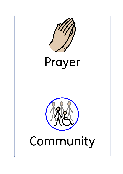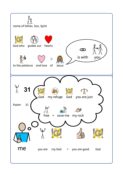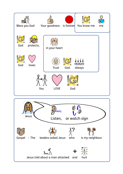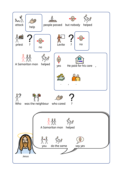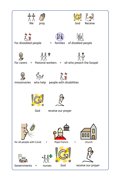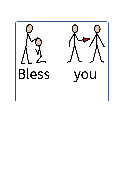